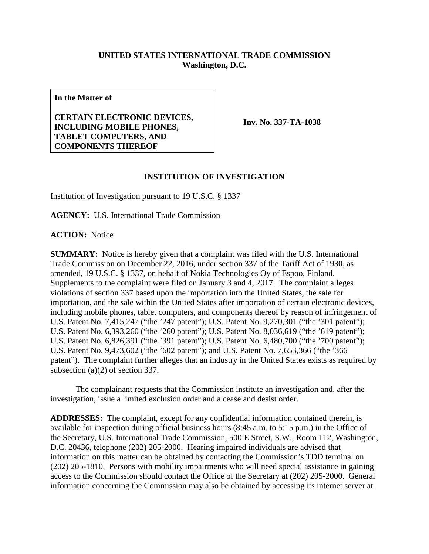## **UNITED STATES INTERNATIONAL TRADE COMMISSION Washington, D.C.**

**In the Matter of**

## **CERTAIN ELECTRONIC DEVICES, INCLUDING MOBILE PHONES, TABLET COMPUTERS, AND COMPONENTS THEREOF**

**Inv. No. 337-TA-1038**

## **INSTITUTION OF INVESTIGATION**

Institution of Investigation pursuant to 19 U.S.C. § 1337

**AGENCY:** U.S. International Trade Commission

**ACTION:** Notice

**SUMMARY:** Notice is hereby given that a complaint was filed with the U.S. International Trade Commission on December 22, 2016, under section 337 of the Tariff Act of 1930, as amended, 19 U.S.C. § 1337, on behalf of Nokia Technologies Oy of Espoo, Finland. Supplements to the complaint were filed on January 3 and 4, 2017. The complaint alleges violations of section 337 based upon the importation into the United States, the sale for importation, and the sale within the United States after importation of certain electronic devices, including mobile phones, tablet computers, and components thereof by reason of infringement of U.S. Patent No. 7,415,247 ("the '247 patent"); U.S. Patent No. 9,270,301 ("the '301 patent"); U.S. Patent No. 6,393,260 ("the '260 patent"); U.S. Patent No. 8,036,619 ("the '619 patent"); U.S. Patent No. 6,826,391 ("the '391 patent"); U.S. Patent No. 6,480,700 ("the '700 patent"); U.S. Patent No. 9,473,602 ("the '602 patent"); and U.S. Patent No. 7,653,366 ("the '366 patent"). The complaint further alleges that an industry in the United States exists as required by subsection (a)(2) of section 337.

The complainant requests that the Commission institute an investigation and, after the investigation, issue a limited exclusion order and a cease and desist order.

**ADDRESSES:** The complaint, except for any confidential information contained therein, is available for inspection during official business hours (8:45 a.m. to 5:15 p.m.) in the Office of the Secretary, U.S. International Trade Commission, 500 E Street, S.W., Room 112, Washington, D.C. 20436, telephone (202) 205-2000. Hearing impaired individuals are advised that information on this matter can be obtained by contacting the Commission's TDD terminal on (202) 205-1810. Persons with mobility impairments who will need special assistance in gaining access to the Commission should contact the Office of the Secretary at (202) 205-2000. General information concerning the Commission may also be obtained by accessing its internet server at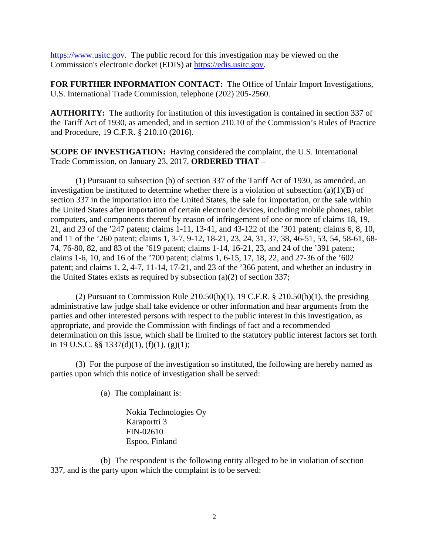[https://www.usitc.gov.](https://www.usitc.gov/) The public record for this investigation may be viewed on the Commission's electronic docket (EDIS) at [https://edis.usitc.gov.](https://edis.usitc.gov/)

**FOR FURTHER INFORMATION CONTACT:** The Office of Unfair Import Investigations, U.S. International Trade Commission, telephone (202) 205-2560.

**AUTHORITY:** The authority for institution of this investigation is contained in section 337 of the Tariff Act of 1930, as amended, and in section 210.10 of the Commission's Rules of Practice and Procedure, 19 C.F.R. § 210.10 (2016).

**SCOPE OF INVESTIGATION:** Having considered the complaint, the U.S. International Trade Commission, on January 23, 2017, **ORDERED THAT** –

(1) Pursuant to subsection (b) of section 337 of the Tariff Act of 1930, as amended, an investigation be instituted to determine whether there is a violation of subsection (a)(1)(B) of section 337 in the importation into the United States, the sale for importation, or the sale within the United States after importation of certain electronic devices, including mobile phones, tablet computers, and components thereof by reason of infringement of one or more of claims 18, 19, 21, and 23 of the '247 patent; claims 1-11, 13-41, and 43-122 of the '301 patent; claims 6, 8, 10, and 11 of the '260 patent; claims 1, 3-7, 9-12, 18-21, 23, 24, 31, 37, 38, 46-51, 53, 54, 58-61, 68- 74, 76-80, 82, and 83 of the '619 patent; claims 1-14, 16-21, 23, and 24 of the '391 patent; claims 1-6, 10, and 16 of the '700 patent; claims 1, 6-15, 17, 18, 22, and 27-36 of the '602 patent; and claims 1, 2, 4-7, 11-14, 17-21, and 23 of the '366 patent, and whether an industry in the United States exists as required by subsection (a)(2) of section 337;

(2) Pursuant to Commission Rule  $210.50(b)(1)$ , 19 C.F.R. §  $210.50(b)(1)$ , the presiding administrative law judge shall take evidence or other information and hear arguments from the parties and other interested persons with respect to the public interest in this investigation, as appropriate, and provide the Commission with findings of fact and a recommended determination on this issue, which shall be limited to the statutory public interest factors set forth in 19 U.S.C. §§ 1337(d)(1), (f)(1), (g)(1);

(3) For the purpose of the investigation so instituted, the following are hereby named as parties upon which this notice of investigation shall be served:

(a) The complainant is:

Nokia Technologies Oy Karaportti 3 FIN-02610 Espoo, Finland

(b) The respondent is the following entity alleged to be in violation of section 337, and is the party upon which the complaint is to be served: